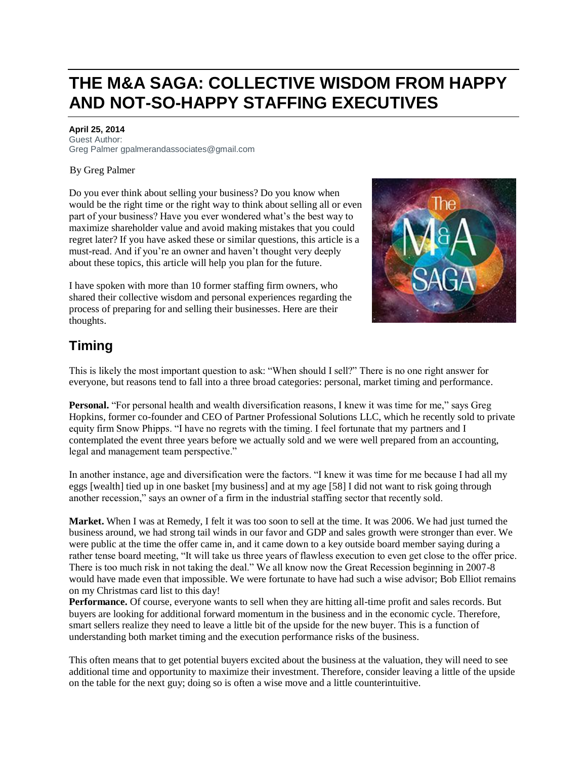# **THE M&A SAGA: COLLECTIVE WISDOM FROM HAPPY AND NOT-SO-HAPPY STAFFING EXECUTIVES**

#### **April 25, 2014**

Guest Author: Greg Palmer gpalmerandassociates@gmail.com

#### [B](http://oascentral.staffingindustry.com/RealMedia/ads/click_lx.ads/www.staffingindustry.com/SI-Review/686233695/Right2/default/empty.gif/444f47692b6c4d35746a734141313157;zip=US:92688?x)y Greg Palmer

Do you ever think about selling your business? Do you know when would be the right time or the right way to think about selling all or even part of your business? Have you ever wondered what's the best way to maximize shareholder value and avoid making mistakes that you could regret later? If you have asked these or similar questions, this article is a must-read. And if you're an owner and haven't thought very deeply about these topics, this article will help you plan for the future.

I have spoken with more than 10 former staffing firm owners, who shared their collective wisdom and personal experiences regarding the process of preparing for and selling their businesses. Here are their thoughts.



### **Timing**

This is likely the most important question to ask: "When should I sell?" There is no one right answer for everyone, but reasons tend to fall into a three broad categories: personal, market timing and performance.

**Personal.** "For personal health and wealth diversification reasons, I knew it was time for me," says Greg Hopkins, former co-founder and CEO of Partner Professional Solutions LLC, which he recently sold to private equity firm Snow Phipps. "I have no regrets with the timing. I feel fortunate that my partners and I contemplated the event three years before we actually sold and we were well prepared from an accounting, legal and management team perspective."

In another instance, age and diversification were the factors. "I knew it was time for me because I had all my eggs [wealth] tied up in one basket [my business] and at my age [58] I did not want to risk going through another recession," says an owner of a firm in the industrial staffing sector that recently sold.

**Market.** When I was at Remedy, I felt it was too soon to sell at the time. It was 2006. We had just turned the business around, we had strong tail winds in our favor and GDP and sales growth were stronger than ever. We were public at the time the offer came in, and it came down to a key outside board member saying during a rather tense board meeting, "It will take us three years of flawless execution to even get close to the offer price. There is too much risk in not taking the deal." We all know now the Great Recession beginning in 2007-8 would have made even that impossible. We were fortunate to have had such a wise advisor; Bob Elliot remains on my Christmas card list to this day!

**Performance.** Of course, everyone wants to sell when they are hitting all-time profit and sales records. But buyers are looking for additional forward momentum in the business and in the economic cycle. Therefore, smart sellers realize they need to leave a little bit of the upside for the new buyer. This is a function of understanding both market timing and the execution performance risks of the business.

This often means that to get potential buyers excited about the business at the valuation, they will need to see additional time and opportunity to maximize their investment. Therefore, consider leaving a little of the upside on the table for the next guy; doing so is often a wise move and a little counterintuitive.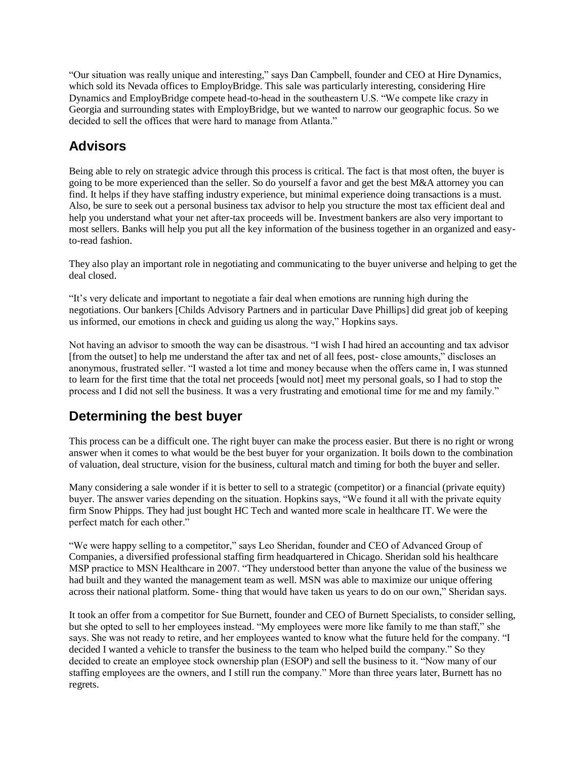"Our situation was really unique and interesting," says Dan Campbell, founder and CEO at Hire Dynamics, which sold its Nevada offices to EmployBridge. This sale was particularly interesting, considering Hire Dynamics and EmployBridge compete head-to-head in the southeastern U.S. "We compete like crazy in Georgia and surrounding states with EmployBridge, but we wanted to narrow our geographic focus. So we decided to sell the offices that were hard to manage from Atlanta."

## **Advisors**

Being able to rely on strategic advice through this process is critical. The fact is that most often, the buyer is going to be more experienced than the seller. So do yourself a favor and get the best M&A attorney you can find. It helps if they have staffing industry experience, but minimal experience doing transactions is a must. Also, be sure to seek out a personal business tax advisor to help you structure the most tax efficient deal and help you understand what your net after-tax proceeds will be. Investment bankers are also very important to most sellers. Banks will help you put all the key information of the business together in an organized and easyto-read fashion.

They also play an important role in negotiating and communicating to the buyer universe and helping to get the deal closed.

"It's very delicate and important to negotiate a fair deal when emotions are running high during the negotiations. Our bankers [Childs Advisory Partners and in particular Dave Phillips] did great job of keeping us informed, our emotions in check and guiding us along the way," Hopkins says.

Not having an advisor to smooth the way can be disastrous. "I wish I had hired an accounting and tax advisor [from the outset] to help me understand the after tax and net of all fees, post- close amounts," discloses an anonymous, frustrated seller. "I wasted a lot time and money because when the offers came in, I was stunned to learn for the first time that the total net proceeds [would not] meet my personal goals, so I had to stop the process and I did not sell the business. It was a very frustrating and emotional time for me and my family."

### **Determining the best buyer**

This process can be a difficult one. The right buyer can make the process easier. But there is no right or wrong answer when it comes to what would be the best buyer for your organization. It boils down to the combination of valuation, deal structure, vision for the business, cultural match and timing for both the buyer and seller.

Many considering a sale wonder if it is better to sell to a strategic (competitor) or a financial (private equity) buyer. The answer varies depending on the situation. Hopkins says, "We found it all with the private equity firm Snow Phipps. They had just bought HC Tech and wanted more scale in healthcare IT. We were the perfect match for each other."

"We were happy selling to a competitor," says Leo Sheridan, founder and CEO of Advanced Group of Companies, a diversified professional staffing firm headquartered in Chicago. Sheridan sold his healthcare MSP practice to MSN Healthcare in 2007. "They understood better than anyone the value of the business we had built and they wanted the management team as well. MSN was able to maximize our unique offering across their national platform. Some- thing that would have taken us years to do on our own," Sheridan says.

It took an offer from a competitor for Sue Burnett, founder and CEO of Burnett Specialists, to consider selling, but she opted to sell to her employees instead. "My employees were more like family to me than staff," she says. She was not ready to retire, and her employees wanted to know what the future held for the company. "I decided I wanted a vehicle to transfer the business to the team who helped build the company." So they decided to create an employee stock ownership plan (ESOP) and sell the business to it. "Now many of our staffing employees are the owners, and I still run the company." More than three years later, Burnett has no regrets.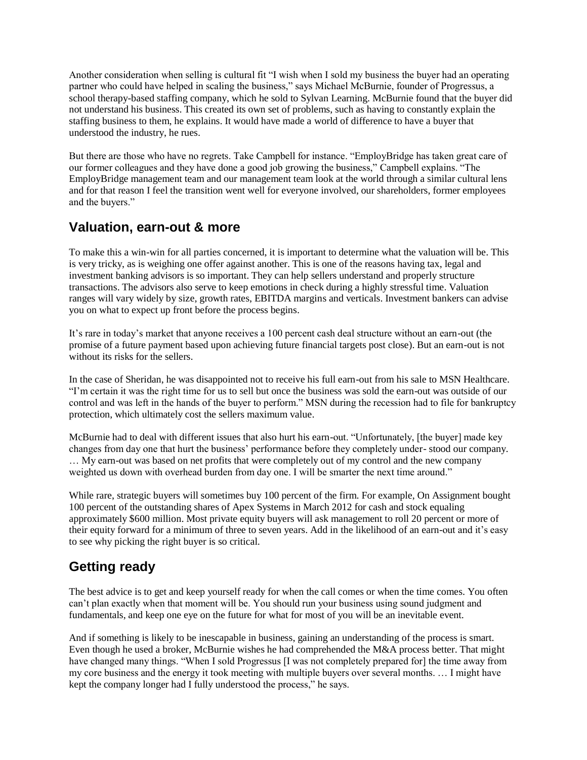Another consideration when selling is cultural fit "I wish when I sold my business the buyer had an operating partner who could have helped in scaling the business," says Michael McBurnie, founder of Progressus, a school therapy-based staffing company, which he sold to Sylvan Learning. McBurnie found that the buyer did not understand his business. This created its own set of problems, such as having to constantly explain the staffing business to them, he explains. It would have made a world of difference to have a buyer that understood the industry, he rues.

But there are those who have no regrets. Take Campbell for instance. "EmployBridge has taken great care of our former colleagues and they have done a good job growing the business," Campbell explains. "The EmployBridge management team and our management team look at the world through a similar cultural lens and for that reason I feel the transition went well for everyone involved, our shareholders, former employees and the buyers."

#### **Valuation, earn-out & more**

To make this a win-win for all parties concerned, it is important to determine what the valuation will be. This is very tricky, as is weighing one offer against another. This is one of the reasons having tax, legal and investment banking advisors is so important. They can help sellers understand and properly structure transactions. The advisors also serve to keep emotions in check during a highly stressful time. Valuation ranges will vary widely by size, growth rates, EBITDA margins and verticals. Investment bankers can advise you on what to expect up front before the process begins.

It's rare in today's market that anyone receives a 100 percent cash deal structure without an earn-out (the promise of a future payment based upon achieving future financial targets post close). But an earn-out is not without its risks for the sellers.

In the case of Sheridan, he was disappointed not to receive his full earn-out from his sale to MSN Healthcare. "I'm certain it was the right time for us to sell but once the business was sold the earn-out was outside of our control and was left in the hands of the buyer to perform." MSN during the recession had to file for bankruptcy protection, which ultimately cost the sellers maximum value.

McBurnie had to deal with different issues that also hurt his earn-out. "Unfortunately, [the buyer] made key changes from day one that hurt the business' performance before they completely under- stood our company. … My earn-out was based on net profits that were completely out of my control and the new company weighted us down with overhead burden from day one. I will be smarter the next time around."

While rare, strategic buyers will sometimes buy 100 percent of the firm. For example, On Assignment bought 100 percent of the outstanding shares of Apex Systems in March 2012 for cash and stock equaling approximately \$600 million. Most private equity buyers will ask management to roll 20 percent or more of their equity forward for a minimum of three to seven years. Add in the likelihood of an earn-out and it's easy to see why picking the right buyer is so critical.

### **Getting ready**

The best advice is to get and keep yourself ready for when the call comes or when the time comes. You often can't plan exactly when that moment will be. You should run your business using sound judgment and fundamentals, and keep one eye on the future for what for most of you will be an inevitable event.

And if something is likely to be inescapable in business, gaining an understanding of the process is smart. Even though he used a broker, McBurnie wishes he had comprehended the M&A process better. That might have changed many things. "When I sold Progressus [I was not completely prepared for] the time away from my core business and the energy it took meeting with multiple buyers over several months. … I might have kept the company longer had I fully understood the process," he says.